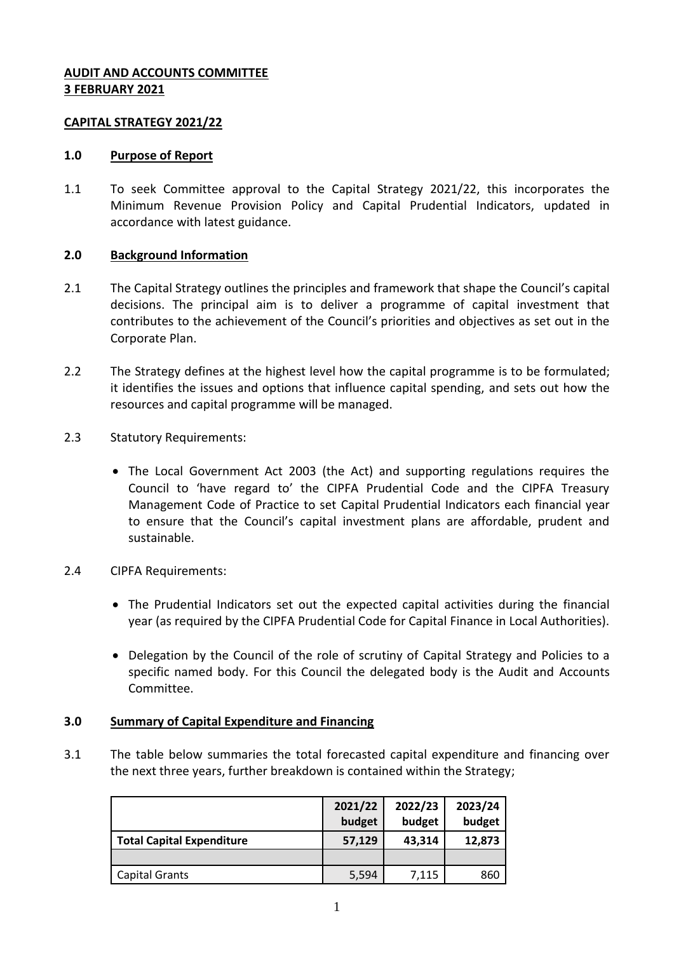# **AUDIT AND ACCOUNTS COMMITTEE 3 FEBRUARY 2021**

# **CAPITAL STRATEGY 2021/22**

# **1.0 Purpose of Report**

1.1 To seek Committee approval to the Capital Strategy 2021/22, this incorporates the Minimum Revenue Provision Policy and Capital Prudential Indicators, updated in accordance with latest guidance.

# **2.0 Background Information**

- 2.1 The Capital Strategy outlines the principles and framework that shape the Council's capital decisions. The principal aim is to deliver a programme of capital investment that contributes to the achievement of the Council's priorities and objectives as set out in the Corporate Plan.
- 2.2 The Strategy defines at the highest level how the capital programme is to be formulated; it identifies the issues and options that influence capital spending, and sets out how the resources and capital programme will be managed.
- 2.3 Statutory Requirements:
	- The Local Government Act 2003 (the Act) and supporting regulations requires the Council to 'have regard to' the CIPFA Prudential Code and the CIPFA Treasury Management Code of Practice to set Capital Prudential Indicators each financial year to ensure that the Council's capital investment plans are affordable, prudent and sustainable.
- 2.4 CIPFA Requirements:
	- The Prudential Indicators set out the expected capital activities during the financial year (as required by the CIPFA Prudential Code for Capital Finance in Local Authorities).
	- Delegation by the Council of the role of scrutiny of Capital Strategy and Policies to a specific named body. For this Council the delegated body is the Audit and Accounts Committee.

# **3.0 Summary of Capital Expenditure and Financing**

3.1 The table below summaries the total forecasted capital expenditure and financing over the next three years, further breakdown is contained within the Strategy;

|                                  | 2021/22<br>budget | 2022/23<br>budget | 2023/24<br>budget |
|----------------------------------|-------------------|-------------------|-------------------|
| <b>Total Capital Expenditure</b> | 57,129            | 43,314            | 12,873            |
|                                  |                   |                   |                   |
| <b>Capital Grants</b>            | 5,594             | 7,115             | 860               |